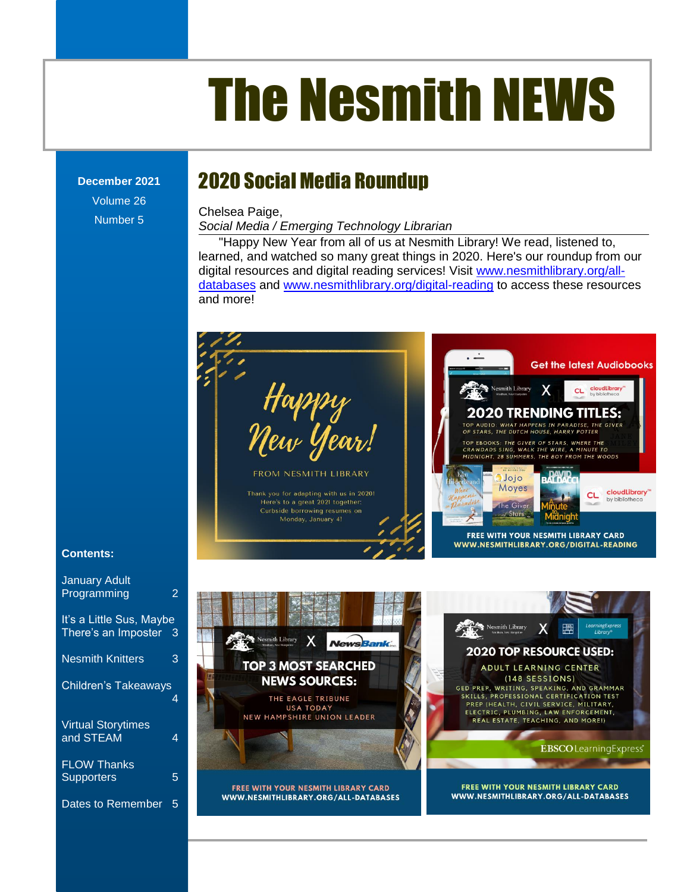# The Nesmith NEWS

**December 2021** Volume 26

Number 5

# 2020 Social Media Roundup

Chelsea Paige,

**Social Media / Emerging Technology Librarian** 

"Happy New Year from all of us at Nesmith Library! We read, listened to, learned, and watched so many great things in 2020. Here's our roundup from our digit[al resources and digital reading services! Visit](file:///C:/Users/Joyce/Documents/Nesmith/2013/Feb%202013/NN02_13.doc%23_Toc347430550) [www.nesmithlibrary.org/all](http://www.nesmithlibrary.org/all-databases)[databases](http://www.nesmithlibrary.org/all-databases) and [www.nesmithlibrary.org/digital-reading](http://www.nesmithlibrary.org/digital-reading) to access these resources s [..........................................................................................................................................................](file:///C:/Users/Joyce/Documents/Nesmith/2013/Feb%202013/NN02_13.doc%23_Toc347430552) **Error! Bookmark not defined.** [The Reference Corner: Pollution.........................................................................................................](file:///C:/Users/Joyce/Documents/Nesmith/2013/Feb%202013/NN02_13.doc%23_Toc347430553) **Error! Bookmark not defined.** and more!



The Reference Corner: Politic Corner: Politic Corner: Politic Paradists of the Civer: **Minute** Upcoming Young Adult Events [...........................................................................................................](file:///C:/Users/Joyce/Documents/Nesmith/2013/Feb%202013/NN02_13.doc%23_Toc347430584) **Error! Bookmark not defined.**



[New Non-Fiction Titles in the Children's Room...................................................................................](file:///C:/Users/Joyce/Documents/Nesmith/2013/Feb%202013/NN02_13.doc%23_Toc347430588) **Error! Bookmark not defined.**

#### **Contents:**

| <b>January Adult</b><br>Programming             | 2              |
|-------------------------------------------------|----------------|
| It's a Little Sus, Maybe<br>There's an Imposter | $\overline{3}$ |
| <b>Nesmith Knitters</b>                         | 3              |
| <b>Children's Takeaways</b>                     |                |
| <b>Virtual Storytimes</b><br>and STEAM          | 4              |
| <b>FLOW Thanks</b><br>Supporters                | 5              |
| Dates to Remember                               | 5              |

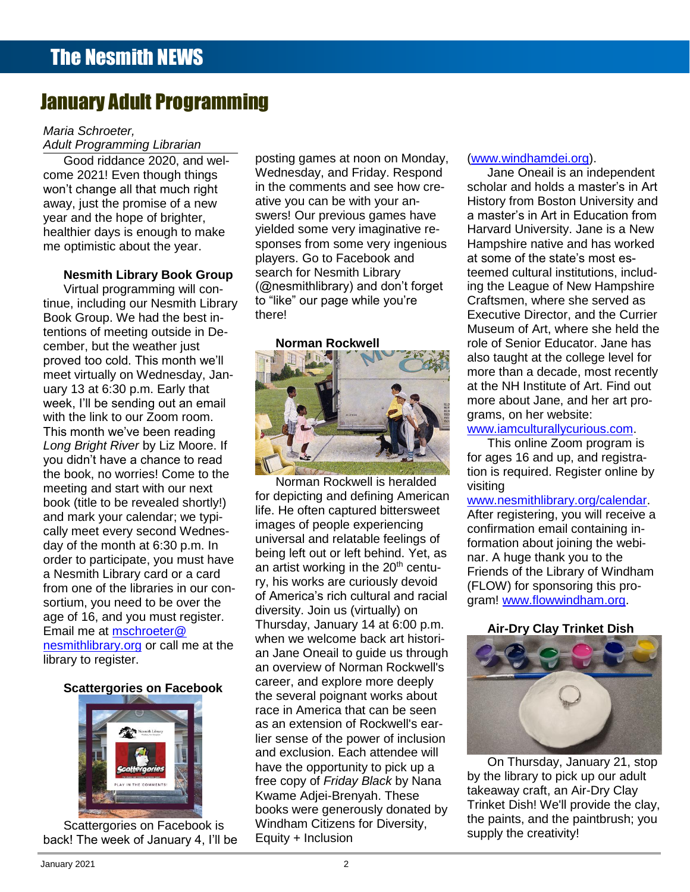# January Adult Programming

#### *Maria Schroeter,*

**Adult Programming Librarian** 

Good riddance 2020, and welcome 2021! Even though things year and the hope of brighter, healthier days is enough to make

cember, but the weather just<br> **Contract the could This month** uary 13 at 6:30 p.m. Early that **the state of the state of Art. Find out** week, I'll be sending out an email **week, and her art pro**with the link to our Zoom room. **Error Mark 1999 and South And The Commark of Andrew State And And State State State And State And State And State And State And State And State And State And State And State And State And S** Long Bright River by Liz Moore. If **Error Program is and the Comprogram is** and the Long Bright River by Liz Moore. If you didn't have a chance to read **with the Children's Children's Children's Children's Children's Children's Second Lines and Text of The Children's Second Lines and Text of The Children Second Lines and Text of The Childr** the book, no worries! Come to the the story of the story of tion is required. Register online by and mark your calendar; we typi-<br>cally meet every second Wednes-Virtual programming will continue, including our Nesmith Library Book Group. We had the best intentions of meeting outside in Deproved too cold. This month we'll meet virtually on Wednesday, Jan-This month we've been reading meeting and start with our next book (title to be revealed shortly!) and mark your calendar; we typiday of the month at 6:30 p.m. In order to participate, you must have a Nesmith Library card or a card from one of the libraries in our consortium, you need to be over the age of 16, and you must register. Email me at [mschroeter@](mailto:mschroeter@nesmithlibrary.org) [nesmithlibrary.org](mailto:mschroeter@nesmithlibrary.org) or call me at the library to register.

#### **Scattergories on Facebook**



Scattergories on Facebook is back! The week of January 4, I'll be

Loca hadahoo 2020, and work is the USS.<br>The 2021! Even though things Wednesday, and Friday. Respond Jane Oneail is an independent Supreme Court Cases [.........................................................................................................................](file:///C:/Users/Joyce/Documents/Nesmith/2013/Feb%202013/NN02_13.doc%23_Toc347430549)**Error! Bookmark not defined.** in the comments and see how crewon't change all that much right <sup>in</sup> the comments and see how cre- scholar and holds a master's in Art away, just the promise of a new ative you can be with your an- History from Boston University and and the hope of brighter. Swers! Our previous games have a master's in Art in Education from and the Reference Corners. nier days is enough to make the serve send they magnetic the manner of the computing term of the computer of th<br>Dimistic about the vear. Sponses from some very ingenious Hampshire native and has worked me optimistic about the year. Sponses from some very ingenious Hampshire native and has worked players. Go to Facebook and **the acaction Programs in Programs in Programs in Programs and Bookmark and Nesmith Library Book Group** search for Nesmith Library teemed cultural institutions, includ-New Non-Fiction Titles in the Children's Room [...................................................................................](file:///C:/Users/Joyce/Documents/Nesmith/2013/Feb%202013/NN02_13.doc%23_Toc347430558)**Error! Bookmark not defined.** ing the League of New Hampshire to Programming will contain the Village of the Village while you're can craftsmen, where she served as including our Nesmith Library to "like" our page while you're Craftsmen, where she served as posting games at noon on Monday, Wednesday, and Friday. Respond ative you can be with your anyielded some very imaginative responses from some very ingenious search for Nesmith Library (@nesmithlibrary) and don't forget there!

#### **Norman Rockwell**



New Non-Fiction Titles in the Children's Room [...................................................................................](file:///C:/Users/Joyce/Documents/Nesmith/2013/Feb%202013/NN02_13.doc%23_Toc347430588)**Error! Bookmark not defined.** Norman Rockwell is heralded  $\frac{1}{100}$  and start with our float.<br>(title to be revealed eberthal) for depicting and defining American www.nesmithlibrary.org/calendar life. He often captured bittersweet images of people experiencing universal and relatable feelings of being left out or left behind. Yet, as an artist working in the  $20<sup>th</sup>$  century, his works are curiously devoid of America's rich cultural and racial diversity. Join us (virtually) on Thursday, January 14 at 6:00 p.m. when we welcome back art historian Jane Oneail to guide us through an overview of Norman Rockwell's career, and explore more deeply the several poignant works about race in America that can be seen as an extension of Rockwell's earlier sense of the power of inclusion and exclusion. Each attendee will have the opportunity to pick up a free copy of *Friday Black* by Nana Kwame Adjei-Brenyah. These books were generously donated by Windham Citizens for Diversity, Equity + Inclusion

#### [\(www.windhamdei.org\)](http://www.windhamdei.org/).

et virtually on Wednesday. Janscholar and holds a master's in Art History from Boston University and a master's in Art in Education from at some of the state's most esteemed cultural institutions, includ-Craftsmen, where she served as Executive Director, and the Currier Museum of Art, where she held the role of Senior Educator. Jane has also taught at the college level for more about Jane, and her art programs, on her website:

for ages 16 and up, and registration is required. Register online by visiting

#### [www.nesmithlibrary.org/calendar.](http://www.nesmithlibrary.org/calendar)

After registering, you will receive a confirmation email containing information about joining the webinar. A huge thank you to the Friends of the Library of Windham (FLOW) for sponsoring this program! [www.flowwindham.org.](http://www.flowwindham.org/)

#### **Air-Dry Clay Trinket Dish**



On Thursday, January 21, stop by the library to pick up our adult takeaway craft, an Air-Dry Clay Trinket Dish! We'll provide the clay, the paints, and the paintbrush; you supply the creativity!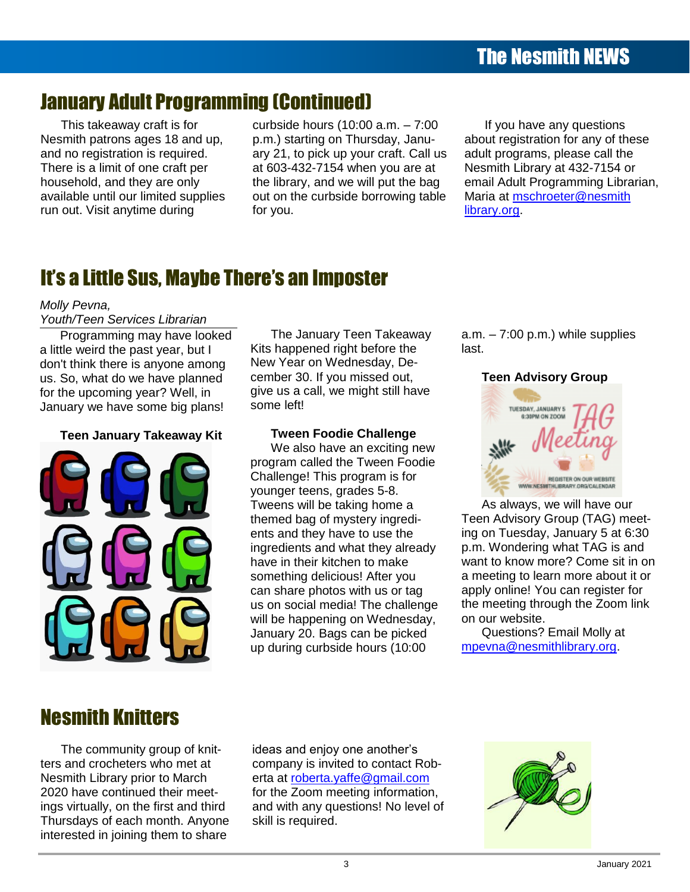# January Adult Programming (Continued)

This takeaway craft is for Nesmith patrons ages 18 and up, **Commit pairwing agogle for any of** There is a limit of one craft per household, and they are only available until our limited supplies

available drift our limited supplies on the carbotac borrowing table on them at <u>Hoomocto Chesnith</u><br>run out. Visit anytime during for you. curbside hours (10:00 a.m. – 7:00 p.m.) starting on Thursday, January 21, to pick up your craft. Call us re is a limit of one craft per at 603-432-7154 when you are at Nesmith Library at 432-7154 or the library, and we will put the bag ble until our limited supplies out on the curbside borrowing table Maria at mschroeter@nesmith for you. ehold, and they are only **the library, and we will put the bag** email Adult Programming Librarian, [s...........................................................................................................................................................](file:///C:/Users/Joyce/Documents/Nesmith/2013/Feb%202013/NN02_13.doc%23_Toc347430552)**Error! Bookmark not defined.**

If you have any questions about registration for any of these adult programs, please call the Nesmith Library at 432-7154 or Maria at [mschroeter@nesmith](mailto:mschroeter@nesmithlibrary.org) [library.org.](mailto:mschroeter@nesmithlibrary.org)

#### Toddler Story Time [..............................................................................................................................](file:///C:/Users/Joyce/Documents/Nesmith/2013/Feb%202013/NN02_13.doc%23_Toc347430557)**Error! Bookmark not defined.** New Non-Fiction Titles in the Children's Room ...................................................................................**Error! Bookmark not defined.** It's [a Little Sus, Maybe There's an Imposter](file:///C:/Users/Joyce/Documents/Nesmith/2013/Feb%202013/NN02_13.doc%23_Toc347430558)

#### [Dates to Remember............................................................................................................................................................................](file:///C:/Users/Joyce/Documents/Nesmith/2013/Feb%202013/NN02_13.doc%23_Toc347430559) 2 *Molly Pevna,*

## **Contents** *Youth/Teen Services Librarian*

**Contents** a little weird the past year, but I don't think there is anyone among New Year on Wednesday, Deus. So, what do we have planned cember 30. If you missed out, **Teen Advisory Group** January we have some big plans! some left! Programming may have looked for the upcoming year? Well, in

#### Upcoming Young Adult Events [............................................................................................................](file:///C:/Users/Joyce/Documents/Nesmith/2013/Feb%202013/NN02_13.doc%23_Toc347430584)**Error! Bookmark not defined.** From the Children's Room: February Vacation Programs ...................................................................**Error! Bookmark not defined.Teen January Takeaway Kit**



e upcoming year? Well, in example us a call, we might still have The Nesmith News, New York 2014. wend the past year, but in the happened right before the latter have.<br>think there is anyone among New Year on Wednesday, Deb, what do we have planned cember 30. If you missed out,<br>
be upcoming year? Well, in give us a call, we might still have<br>
any we have some big plans! Some left! The January Teen Takeaway cember 30. If you missed out, some left!

**The Digital Challenge.** We also have an exciting new **Example 2014 Books and Digital Challenge.** We also have an exciting new<br>program called the Tween Foodie Challenge! This program is for **Example 2008 WEBSITER ON OUR WEBSITE** younger teens, grades 5-8.  $S$  Danger. decis, grades 3-0. Upcoming Young Adult Events [............................................................................................................](file:///C:/Users/Joyce/Documents/Nesmith/2013/Feb%202013/NN02_13.doc%23_Toc347430584)**Error! Bookmark not defined.** will be happening on Wednesday, The Digital Challenger and Westerstein, Charles and Structure of The United States of The United States of The United States of The United States of The United States of The United States of The United States of The United **From the Children's Annuary 20. Bags can be picked Cuestions? Email Molly at Annuary 20. Bags can be picked Cuestions? Email Molly at Today of Time 1 Construction** Up during curbside hours (10:00 mpeyna@nesmithlibrary.org. Tweens will be taking home a themed bag of mystery ingredients and they have to use the ingredients and what they already have in their kitchen to make us on social media! The challenge

 $a.m. - 7:00 p.m.$ ) while supplies last.

#### **Teen Advisory Group**



**DERRANEWS.** Ingredients and what they already p.m. Wondering what TAG is and Supreme Court Cases [.........................................................................................................................](file:///C:/Users/Joyce/Documents/Nesmith/2013/Feb%202013/NN02_13.doc%23_Toc347430579)**Error! Bookmark not defined.** want to know more? Come sit in on **Dreams and the more in their knocket to make** want to know more it come sit in one **THE REPORT AFTER Something delicious!** After you a meeting to learn more about it or can share photos with us or tag apply online! You can register for **the Reference Corners:** The challenge the meeting through the Zoom link As always, we will have our Teen Advisory Group (TAG) meeting on Tuesday, January 5 at 6:30 apply online! You can register for on our website.

> Questions? Email Molly at [mpevna@nesmithlibrary.org.](mailto:mpevna@nesmithlibrary.org)

## s Nesmith Knitters

ters and crocheters who met at interested in joining them to share the state of the state of the state of the state of the state of the state The community group of knit-Nesmith Library prior to March 2020 have continued their meetings virtually, on the first and third

 $T_{\text{min}}$   $T_{\text{min}}$   $T_{\text{min}}$   $T_{\text{min}}$   $T_{\text{min}}$   $T_{\text{min}}$   $T_{\text{min}}$   $T_{\text{min}}$   $T_{\text{min}}$   $T_{\text{min}}$   $T_{\text{min}}$   $T_{\text{min}}$   $T_{\text{min}}$   $T_{\text{min}}$   $T_{\text{min}}$   $T_{\text{min}}$   $T_{\text{min}}$   $T_{\text{min}}$   $T_{\text{min}}$   $T_{\text{min}}$   $T_{\text{min}}$   $T_{\text{min}}$  have continued their meet-<br>
for the Zoom meeting information, irtually, on the first and third and with any questions! No level of **Example 19 and 19 and 20** Thursdays of each month. Anyone skill is required. Thursdays of each month. Anyone skill is required. ideas and enjoy one another's company is invited to contact Roberta at [roberta.yaffe@gmail.com](mailto:roberta.yaffe@gmail.com) skill is required.

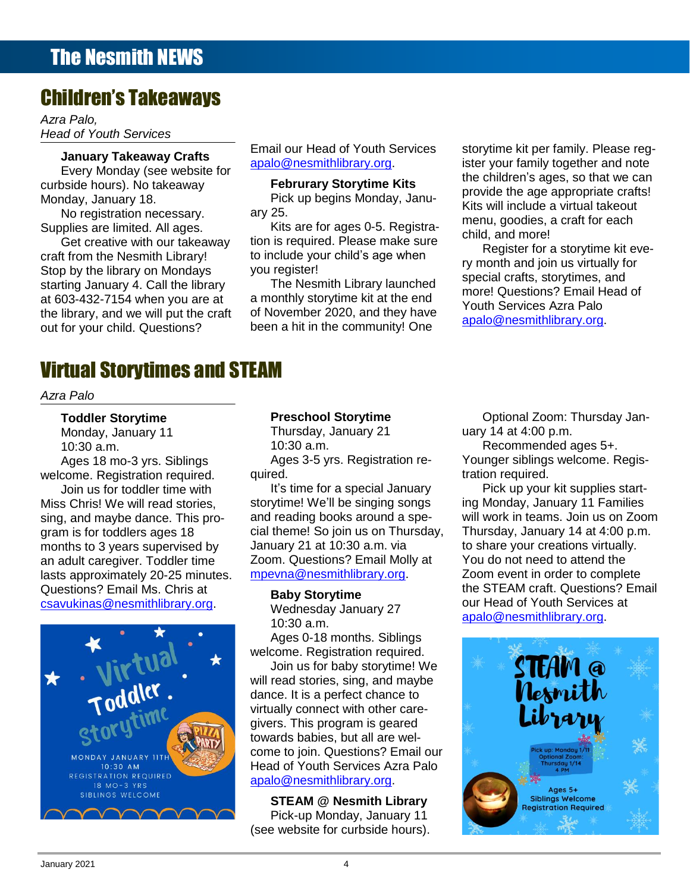# Children's Takeaways

*Azra Palo, Head of Youth Services*

# **Contents January Takeaway Crafts**

Every Monday (see website for curbside hours). No takeaway Monday, January 18.

Supplies are limited. All ages.

Stop by the library on Mondays you register!<br>Stop by the library on Mondays you register! starting January 4. Call the library **The Nesmith Library launched** special craits, storytimes, and<br>starting January 4. Call the library Get creative with our takeaway craft from the Nesmith Library! at 603-432-7154 when you are at the library, and we will put the craft out for your child. Questions?

#### Email our Head of Youth Services [apalo@nesmithlibrary.org.](mailto:apalo@nesmithlibrary.org)

#### **Februrary Storytime Kits**

ary 25.

tion and the above the ages of the surface of the surface of the child, and more!<br>et creative with our takeaway tion is required. Please make sure periode for a star time lite ore Kits are for ages 0-5. Registrayou register!

> The Nesmith Library launched a monthly storytime kit at the end of November 2020, and they have been a hit in the community! One

Janual y Takeaway Grafts and apalo@nesmithlibrary.org. The ster your family together and note rely ividities we we can<br>identic ages, so that we can real order nours). No takeaway **Example Tellur and Storythme Kits**<br>and the age appropriate crafts! ay, January 18. The Monday, Janu- Provide the age appropriate claim. No registration necessary. The same area and the second of the second of the second of the second and the second of the second of the second of the second of the second of the second of the second of the second of the seco o registration recessary. The Reference Corner and the Registration recessary.<br>iee ere limited. All egee storytime kit per family. Please reg-Kits will include a virtual takeout child, and more!

et creative with our takeaway and its required. Flease make sure<br>From the Necesith Library and to include your obild's ago when From the Nesmith Library! The include your child's age when the Nesmith Library in the study of the study of the ry Jamuary 4. Cameric indiary<br>1.120.7454 when you are at a proportive top time kit at the end more! Questions? Email Head of ry month and join us virtually for special crafts, storytimes, and Youth Services Azra Palo [apalo@nesmithlibrary.org.](mailto:apalo@nesmithlibrary.org)

#### $\blacksquare$  Nesmitimes and CTEAM with  $\blacksquare$ Supreme Court Cases [.........................................................................................................................](file:///C:/Users/Joyce/Documents/Nesmith/2013/Feb%202013/NN02_13.doc%23_Toc347430579)**Error! Bookmark not defined.** Virtual Storytimes and STEAM

Dreams [................................................................................................................................................](file:///C:/Users/Joyce/Documents/Nesmith/2013/Feb%202013/NN02_13.doc%23_Toc347430580)**Error! Bookmark not defined.** [New DVD.............................................................................................................................................](file:///C:/Users/Joyce/Documents/Nesmith/2013/Feb%202013/NN02_13.doc%23_Toc347430581)**Error! Bookmark not defined.** *Azra Palo*

### **Contents Toddler Storytime**

10:30 a.m.

welcome. Registration required. quired. The contract of the contract of the contract of the contract of the contract of the contract of the contract of the contract of the contract of the contract of the contract of the co New Non-Fiction Titles in the Children's Room ...................................................................................**Error! Bookmark not defined.** s sing, and maybe dance. This pro-Ages 18 mo-3 yrs. Siblings Join us for toddler time with Miss Chris! We will read stories, gram is for toddlers ages 18 months to 3 years supervised by an adult caregiver. Toddler time lasts approximately 20-25 minutes. Questions? Email Ms. Chris at [csavukinas@nesmithlibrary.org.](mailto:csavukinas@nesmithlibrary.org)



#### **Preschool Storytime**

Monday, January 11 **Monday, January 21** Monday, January 21 Monday, January 21 Monday, January 21 Monday, January 21 Thursday, January 21 10:30 a.m. Ages 3-5 yrs. Registration required.

our region and required.<br>
It's time for a special January Thick up your kit supplies start-It's time for a special January storytime! We'll be singing songs January 21 at 10:30 a.m. via [mpevna@nesmithlibrary.org.](mailto:mpevna@nesmithlibrary.org)

#### **Baby Storytime**

Wednesday January 27 10:30 a.m.

Join us for baby storytime! We [apalo@nesmithlibrary.org.](mailto:apalo@nesmithlibrary.org)

**STEAM @ Nesmith Library** Pick-up Monday, January 11 (see website for curbside hours).

[s...........................................................................................................................................................](file:///C:/Users/Joyce/Documents/Nesmith/2013/Feb%202013/NN02_13.doc%23_Toc347430582)**Error! Bookmark not defined.** The Reference Corner: Pollution [.........................................................................................................](file:///C:/Users/Joyce/Documents/Nesmith/2013/Feb%202013/NN02_13.doc%23_Toc347430583)**Error! Bookmark not defined.** Optional Zoom: Thursday January 14 at 4:00 p.m.

 $10:30$  a.m.  $10:30$  a.m.  $\qquad \qquad$  Recommended ages 5+. ges 18 mo-3 yrs. Siblings The Ages 3-5 yrs. Registration re-<br>
Younger siblings welcome. Registration required.

In us for todaler time with  $R = 0$  is time for a special January  $R = 100$  and  $R = 100$  and  $R = 100$  and  $R = 100$ The Reference Corner: Politic Corner: Politic Corner and Corner in the American Corner in the American School of District Only and the American School of District Only and District Only and District Only and District Only Chris! We will read stories, www.storytime! We'll be singing songs www.ing Monday, January 11 Families and maybe dance. This pro- and reading books around a spe- will work in teams. Join us on Zoom is for toddlers ages 18 cial theme! So join us on Thursday, Thursday, January 14 at 4:00 p.m. ns to 3 years supervised by January 21 at 10:30 a.m. via to share your creations virtually. New Non-Fiction Titles in the Children's Room [...................................................................................](file:///C:/Users/Joyce/Documents/Nesmith/2013/Feb%202013/NN02_13.doc%23_Toc347430558)**Error! Bookmark not defined.** ult caregiver. Toddler time Zoom. Questions? Email Molly at You do not need to attend the will work in teams. Join us on Zoom Thursday, January 14 at 4:00 p.m. You do not need to attend the Zoom event in order to complete the STEAM craft. Questions? Email our Head of Youth Services at [apalo@nesmithlibrary.org.](mailto:apalo@nesmithlibrary.org)